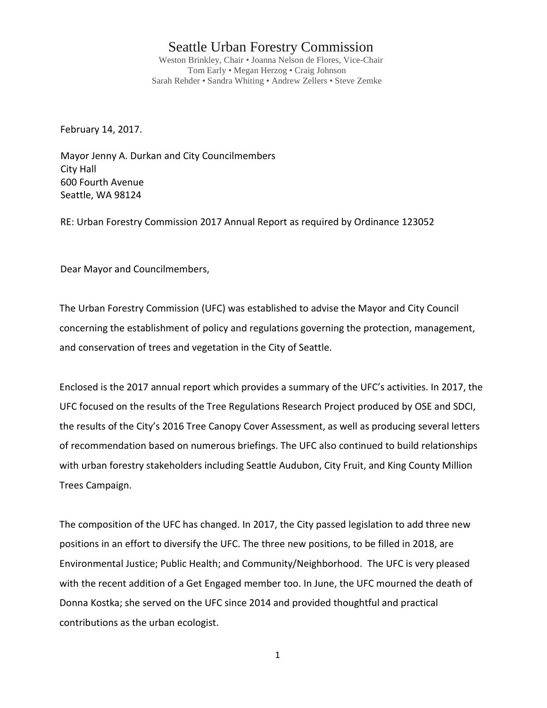## Seattle Urban Forestry Commission

Weston Brinkley, Chair • Joanna Nelson de Flores, Vice-Chair Tom Early • Megan Herzog • Craig Johnson Sarah Rehder • Sandra Whiting • Andrew Zellers • Steve Zemke

February 14, 2017.

Mayor Jenny A. Durkan and City Councilmembers City Hall 600 Fourth Avenue Seattle, WA 98124

RE: Urban Forestry Commission 2017 Annual Report as required by Ordinance 123052

Dear Mayor and Councilmembers,

The Urban Forestry Commission (UFC) was established to advise the Mayor and City Council concerning the establishment of policy and regulations governing the protection, management, and conservation of trees and vegetation in the City of Seattle.

Enclosed is the 2017 annual report which provides a summary of the UFC's activities. In 2017, the UFC focused on the results of the Tree Regulations Research Project produced by OSE and SDCI, the results of the City's 2016 Tree Canopy Cover Assessment, as well as producing several letters of recommendation based on numerous briefings. The UFC also continued to build relationships with urban forestry stakeholders including Seattle Audubon, City Fruit, and King County Million Trees Campaign.

The composition of the UFC has changed. In 2017, the City passed legislation to add three new positions in an effort to diversify the UFC. The three new positions, to be filled in 2018, are Environmental Justice; Public Health; and Community/Neighborhood. The UFC is very pleased with the recent addition of a Get Engaged member too. In June, the UFC mourned the death of Donna Kostka; she served on the UFC since 2014 and provided thoughtful and practical contributions as the urban ecologist.

1